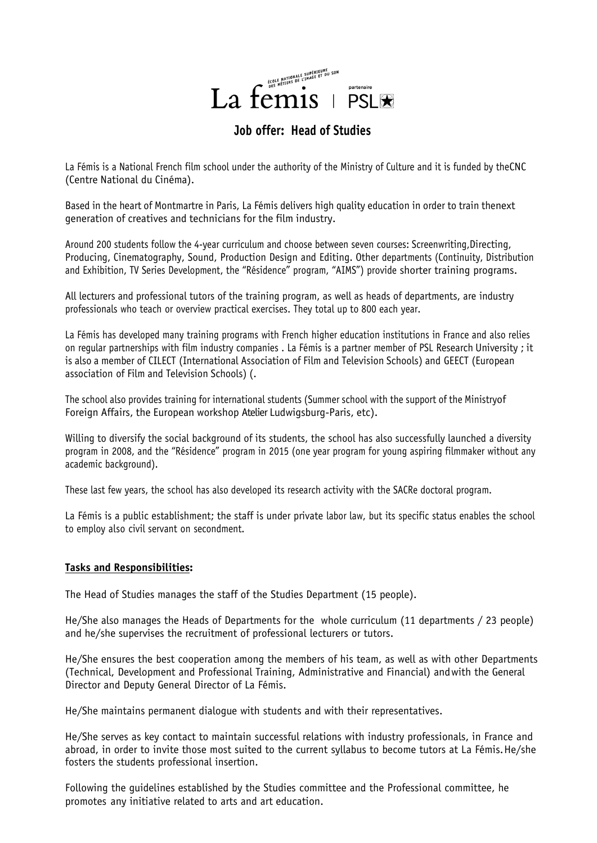

# **Job offer: Head of Studies**

La Fémis is a National French film school under the authority of the Ministry of Culture and it is funded by theCNC (Centre National du Cinéma).

Based in the heart of Montmartre in Paris, La Fémis delivers high quality education in order to train thenext generation of creatives and technicians for the film industry.

Around 200 students follow the 4-year curriculum and choose between seven courses: Screenwriting,Directing, Producing, Cinematography, Sound, Production Design and Editing. Other departments (Continuity, Distribution and Exhibition, TV Series Development, the "Résidence" program, "AIMS") provide shorter training programs.

All lecturers and professional tutors of the training program, as well as heads of departments, are industry professionals who teach or overview practical exercises. They total up to 800 each year.

La Fémis has developed many training programs with French higher education institutions in France and also relies on regular partnerships with film industry companies . La Fémis is a partner member of PSL Research University ; it is also a member of CILECT (International Association of Film and Television Schools) and GEECT (European association of Film and Television Schools) (.

The school also provides training for international students (Summer school with the support of the Ministryof Foreign Affairs, the European workshop Atelier Ludwigsburg-Paris, etc).

Willing to diversify the social background of its students, the school has also successfully launched a diversity program in 2008, and the "Résidence" program in 2015 (one year program for young aspiring filmmaker without any academic background).

These last few years, the school has also developed its research activity with the SACRe doctoral program.

La Fémis is a public establishment; the staff is under private labor law, but its specific status enables the school to employ also civil servant on secondment.

### **Tasks and Responsibilities:**

The Head of Studies manages the staff of the Studies Department (15 people).

He/She also manages the Heads of Departments for the whole curriculum (11 departments / 23 people) and he/she supervises the recruitment of professional lecturers or tutors.

He/She ensures the best cooperation among the members of his team, as well as with other Departments (Technical, Development and Professional Training, Administrative and Financial) andwith the General Director and Deputy General Director of La Fémis.

He/She maintains permanent dialogue with students and with their representatives.

He/She serves as key contact to maintain successful relations with industry professionals, in France and abroad, in order to invite those most suited to the current syllabus to become tutors at La Fémis.He/she fosters the students professional insertion.

Following the guidelines established by the Studies committee and the Professional committee, he promotes any initiative related to arts and art education.